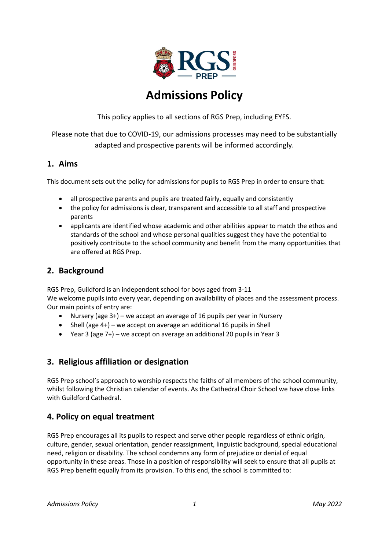

# **Admissions Policy**

This policy applies to all sections of RGS Prep, including EYFS.

Please note that due to COVID-19, our admissions processes may need to be substantially adapted and prospective parents will be informed accordingly.

## **1. Aims**

This document sets out the policy for admissions for pupils to RGS Prep in order to ensure that:

- all prospective parents and pupils are treated fairly, equally and consistently
- the policy for admissions is clear, transparent and accessible to all staff and prospective parents
- applicants are identified whose academic and other abilities appear to match the ethos and standards of the school and whose personal qualities suggest they have the potential to positively contribute to the school community and benefit from the many opportunities that are offered at RGS Prep.

## **2. Background**

RGS Prep, Guildford is an independent school for boys aged from 3-11 We welcome pupils into every year, depending on availability of places and the assessment process. Our main points of entry are:

- Nursery (age 3+) we accept an average of 16 pupils per year in Nursery
- Shell (age 4+) we accept on average an additional 16 pupils in Shell
- Year 3 (age 7+) we accept on average an additional 20 pupils in Year 3

# **3. Religious affiliation or designation**

RGS Prep school's approach to worship respects the faiths of all members of the school community, whilst following the Christian calendar of events. As the Cathedral Choir School we have close links with Guildford Cathedral.

# **4. Policy on equal treatment**

RGS Prep encourages all its pupils to respect and serve other people regardless of ethnic origin, culture, gender, sexual orientation, gender reassignment, linguistic background, special educational need, religion or disability. The school condemns any form of prejudice or denial of equal opportunity in these areas. Those in a position of responsibility will seek to ensure that all pupils at RGS Prep benefit equally from its provision. To this end, the school is committed to: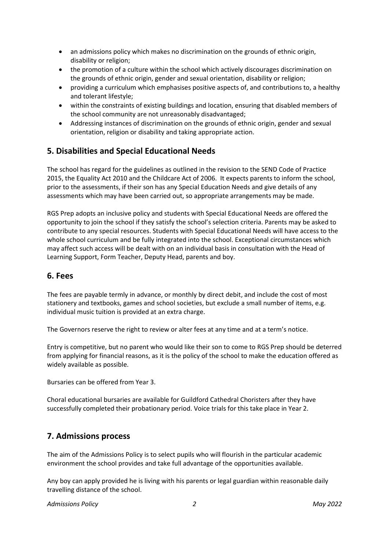- an admissions policy which makes no discrimination on the grounds of ethnic origin, disability or religion;
- the promotion of a culture within the school which actively discourages discrimination on the grounds of ethnic origin, gender and sexual orientation, disability or religion;
- providing a curriculum which emphasises positive aspects of, and contributions to, a healthy and tolerant lifestyle;
- within the constraints of existing buildings and location, ensuring that disabled members of the school community are not unreasonably disadvantaged;
- Addressing instances of discrimination on the grounds of ethnic origin, gender and sexual orientation, religion or disability and taking appropriate action.

# **5. Disabilities and Special Educational Needs**

The school has regard for the guidelines as outlined in the revision to the SEND Code of Practice 2015, the Equality Act 2010 and the Childcare Act of 2006. It expects parents to inform the school, prior to the assessments, if their son has any Special Education Needs and give details of any assessments which may have been carried out, so appropriate arrangements may be made.

RGS Prep adopts an inclusive policy and students with Special Educational Needs are offered the opportunity to join the school if they satisfy the school's selection criteria. Parents may be asked to contribute to any special resources. Students with Special Educational Needs will have access to the whole school curriculum and be fully integrated into the school. Exceptional circumstances which may affect such access will be dealt with on an individual basis in consultation with the Head of Learning Support, Form Teacher, Deputy Head, parents and boy.

## **6. Fees**

The fees are payable termly in advance, or monthly by direct debit, and include the cost of most stationery and textbooks, games and school societies, but exclude a small number of items, e.g. individual music tuition is provided at an extra charge.

The Governors reserve the right to review or alter fees at any time and at a term's notice.

Entry is competitive, but no parent who would like their son to come to RGS Prep should be deterred from applying for financial reasons, as it is the policy of the school to make the education offered as widely available as possible.

Bursaries can be offered from Year 3.

Choral educational bursaries are available for Guildford Cathedral Choristers after they have successfully completed their probationary period. Voice trials for this take place in Year 2.

# **7. Admissions process**

The aim of the Admissions Policy is to select pupils who will flourish in the particular academic environment the school provides and take full advantage of the opportunities available.

Any boy can apply provided he is living with his parents or legal guardian within reasonable daily travelling distance of the school.

*Admissions Policy 2 May 2022*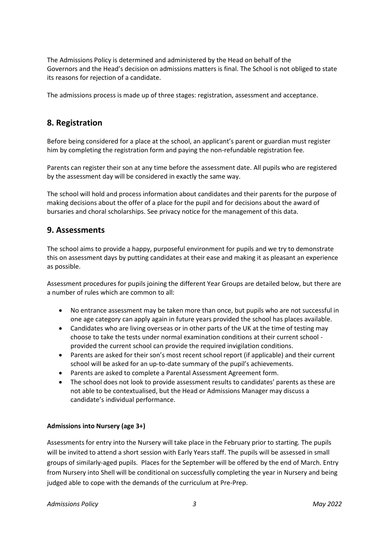The Admissions Policy is determined and administered by the Head on behalf of the Governors and the Head's decision on admissions matters is final. The School is not obliged to state its reasons for rejection of a candidate.

The admissions process is made up of three stages: registration, assessment and acceptance.

# **8. Registration**

Before being considered for a place at the school, an applicant's parent or guardian must register him by completing the registration form and paying the non-refundable registration fee.

Parents can register their son at any time before the assessment date. All pupils who are registered by the assessment day will be considered in exactly the same way.

The school will hold and process information about candidates and their parents for the purpose of making decisions about the offer of a place for the pupil and for decisions about the award of bursaries and choral scholarships. See privacy notice for the management of this data.

## **9. Assessments**

The school aims to provide a happy, purposeful environment for pupils and we try to demonstrate this on assessment days by putting candidates at their ease and making it as pleasant an experience as possible.

Assessment procedures for pupils joining the different Year Groups are detailed below, but there are a number of rules which are common to all:

- No entrance assessment may be taken more than once, but pupils who are not successful in one age category can apply again in future years provided the school has places available.
- Candidates who are living overseas or in other parts of the UK at the time of testing may choose to take the tests under normal examination conditions at their current school provided the current school can provide the required invigilation conditions.
- Parents are asked for their son's most recent school report (if applicable) and their current school will be asked for an up-to-date summary of the pupil's achievements.
- Parents are asked to complete a Parental Assessment Agreement form.
- The school does not look to provide assessment results to candidates' parents as these are not able to be contextualised, but the Head or Admissions Manager may discuss a candidate's individual performance.

## **Admissions into Nursery (age 3+)**

Assessments for entry into the Nursery will take place in the February prior to starting. The pupils will be invited to attend a short session with Early Years staff. The pupils will be assessed in small groups of similarly-aged pupils. Places for the September will be offered by the end of March. Entry from Nursery into Shell will be conditional on successfully completing the year in Nursery and being judged able to cope with the demands of the curriculum at Pre-Prep.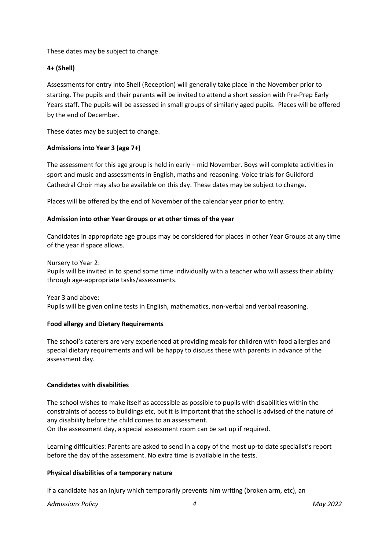These dates may be subject to change.

## **4+ (Shell)**

Assessments for entry into Shell (Reception) will generally take place in the November prior to starting. The pupils and their parents will be invited to attend a short session with Pre-Prep Early Years staff. The pupils will be assessed in small groups of similarly aged pupils. Places will be offered by the end of December.

These dates may be subject to change.

#### **Admissions into Year 3 (age 7+)**

The assessment for this age group is held in early – mid November. Boys will complete activities in sport and music and assessments in English, maths and reasoning. Voice trials for Guildford Cathedral Choir may also be available on this day. These dates may be subject to change.

Places will be offered by the end of November of the calendar year prior to entry.

#### **Admission into other Year Groups or at other times of the year**

Candidates in appropriate age groups may be considered for places in other Year Groups at any time of the year if space allows.

Nursery to Year 2: Pupils will be invited in to spend some time individually with a teacher who will assess their ability through age-appropriate tasks/assessments.

Year 3 and above: Pupils will be given online tests in English, mathematics, non-verbal and verbal reasoning.

#### **Food allergy and Dietary Requirements**

The school's caterers are very experienced at providing meals for children with food allergies and special dietary requirements and will be happy to discuss these with parents in advance of the assessment day.

#### **Candidates with disabilities**

The school wishes to make itself as accessible as possible to pupils with disabilities within the constraints of access to buildings etc, but it is important that the school is advised of the nature of any disability before the child comes to an assessment.

On the assessment day, a special assessment room can be set up if required.

Learning difficulties: Parents are asked to send in a copy of the most up-to date specialist's report before the day of the assessment. No extra time is available in the tests.

## **Physical disabilities of a temporary nature**

If a candidate has an injury which temporarily prevents him writing (broken arm, etc), an

*Admissions Policy 4 May 2022*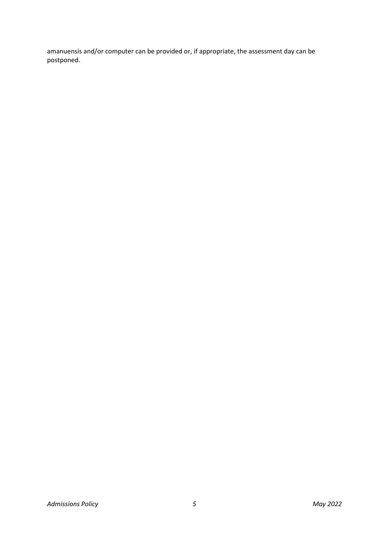amanuensis and/or computer can be provided or, if appropriate, the assessment day can be postponed.